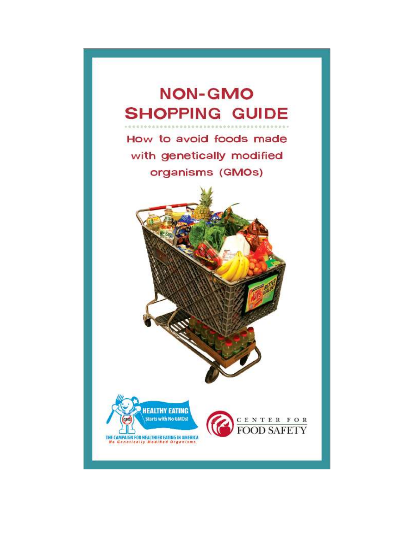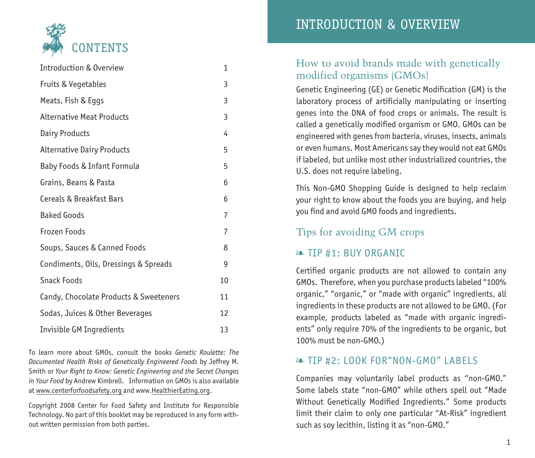

| Introduction & Overview                | 1  |
|----------------------------------------|----|
| Fruits & Vegetables                    | 3  |
| Meats, Fish & Eggs                     | 3  |
| <b>Alternative Meat Products</b>       | 3  |
| Dairy Products                         | 4  |
| <b>Alternative Dairy Products</b>      | 5  |
| Baby Foods & Infant Formula            | 5  |
| Grains, Beans & Pasta                  | 6  |
| Cereals & Breakfast Bars               | 6  |
| <b>Baked Goods</b>                     | 7  |
| Frozen Foods                           | 7  |
| Soups, Sauces & Canned Foods           | 8  |
| Condiments, Oils, Dressings & Spreads  | 9  |
| Snack Foods                            | 10 |
| Candy, Chocolate Products & Sweeteners | 11 |
| Sodas, Juices & Other Beverages        | 12 |
| Invisible GM Ingredients               | 13 |
|                                        |    |

To learn more about GMOs, consult the books *Genetic Roulette: The Documented Health Risks of Genetically Engineered Foods* by Jeffrey M. Smith or *Your Right to Know: Genetic Engineering and the Secret Changes in Your Food* by Andrew Kimbrell. Information on GMOs is also available at www.centerforfoodsafety.org and www.HealthierEating.org.

Copyright 2008 Center for Food Safety and Institute for Responsible Technology. No part of this booklet may be reproduced in any form without written permission from both parties.

# INTRODUCTION & OVERVIEW

### How to avoid brands made with genetically modified organisms (GMOs)

Genetic Engineering (GE) or Genetic Modification (GM) is the laboratory process of artificially manipulating or inserting genes into the DNA of food crops or animals. The result is called a genetically modified organism or GMO. GMOs can be engineered with genes from bacteria, viruses, insects, animals or even humans. Most Americans say they would not eat GMOs if labeled, but unlike most other industrialized countries, the U.S. does not require labeling.

This Non-GMO Shopping Guide is designed to help reclaim your right to know about the foods you are buying, and help you find and avoid GMO foods and ingredients.

### Tips for avoiding GM crops

### ❧ TIP #1: BUY ORGANIC

Certified organic products are not allowed to contain any GMOs. Therefore, when you purchase products labeled "100% organic," "organic," or "made with organic" ingredients, all ingredients in these products are not allowed to be GMO. (For example, products labeled as "made with organic ingredients" only require 70% of the ingredients to be organic, but 100% must be non-GMO.)

### ❧ TIP #2: LOOK FOR"NON-GMO" LABELS

Companies may voluntarily label products as "non-GMO." Some labels state "non-GMO" while others spell out "Made Without Genetically Modified Ingredients." Some products limit their claim to only one particular "At-Risk" ingredient such as soy lecithin, listing it as "non-GMO."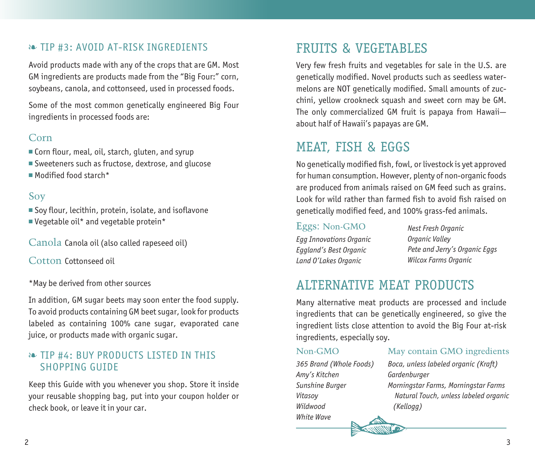### ❧ TIP #3: AVOID AT-RISK INGREDIENTS

Avoid products made with any of the crops that are GM. Most GM ingredients are products made from the "Big Four:" corn, soybeans, canola, and cottonseed, used in processed foods.

Some of the most common genetically engineered Big Four ingredients in processed foods are:

#### Corn

- Corn flour, meal, oil, starch, gluten, and syrup
- Sweeteners such as fructose, dextrose, and glucose
- Modified food starch\*

### Soy

- Soy flour, lecithin, protein, isolate, and isoflavone
- Vegetable oil\* and vegetable protein\*

Canola Canola oil (also called rapeseed oil)

Cotton Cottonseed oil

\*May be derived from other sources

In addition, GM sugar beets may soon enter the food supply. To avoid products containing GM beet sugar, look for products labeled as containing 100% cane sugar, evaporated cane juice, or products made with organic sugar.

### ❧ TIP #4: BUY PRODUCTS LISTED IN THIS SHOPPING GUIDE

Keep this Guide with you whenever you shop. Store it inside your reusable shopping bag, put into your coupon holder or check book, or leave it in your car.

# FRUITS & VEGETABLES

Very few fresh fruits and vegetables for sale in the U.S. are genetically modified. Novel products such as seedless watermelons are NOT genetically modified. Small amounts of zucchini, yellow crookneck squash and sweet corn may be GM. The only commercialized GM fruit is papaya from Hawaii about half of Hawaii's papayas are GM.

# MEAT, FISH & EGGS

No genetically modified fish, fowl, or livestock is yet approved for human consumption. However, plenty of non-organic foods are produced from animals raised on GM feed such as grains. Look for wild rather than farmed fish to avoid fish raised on genetically modified feed, and 100% grass-fed animals.

#### Eggs: Non-GMO

*Egg Innovations Organic Eggland's Best Organic Land O'Lakes Organic*

*Nest Fresh Organic Organic Valley Pete and Jerry's Organic Eggs Wilcox Farms Organic*

# ALTERNATIVE MEAT PRODUCTS

Many alternative meat products are processed and include ingredients that can be genetically engineered, so give the ingredient lists close attention to avoid the Big Four at-risk ingredients, especially soy.

#### Non-GMO

*365 Brand (Whole Foods) Amy's Kitchen Sunshine Burger Vitasoy Wildwood White Wave*

### May contain GMO ingredients

*Boca, unless labeled organic (Kraft) Gardenburger Morningstar Farms, Morningstar Farms Natural Touch, unless labeled organic (Kellogg)*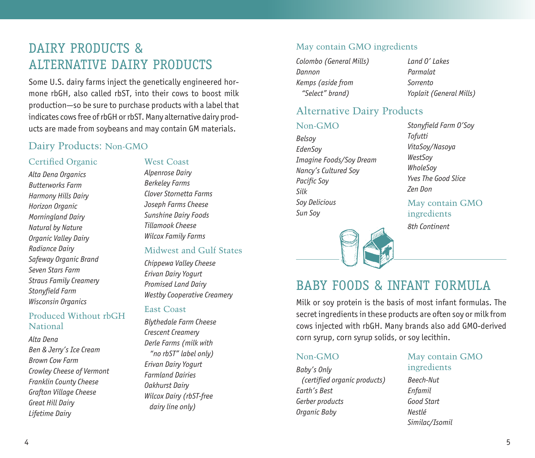# DAIRY PRODUCTS & ALTERNATIVE DAIRY PRODUCTS

Some U.S. dairy farms inject the genetically engineered hormone rbGH, also called rbST, into their cows to boost milk production—so be sure to purchase products with a label that indicates cows free of rbGH or rbST. Many alternative dairy products are made from soybeans and may contain GM materials.

### Dairy Products: Non-GMO

#### Certified Organic

*Alta Dena Organics Butterworks Farm Harmony Hills Dairy Horizon Organic Morningland Dairy Natural by Nature Organic Valley Dairy Radiance Dairy Safeway Organic Brand Seven Stars Farm Straus Family Creamery Stonyfield Farm Wisconsin Organics*

#### Produced Without rbGH National

*Alta Dena Ben & Jerry's Ice Cream Brown Cow Farm Crowley Cheese of Vermont Franklin County Cheese Grafton Village Cheese Great Hill Dairy Lifetime Dairy*

#### West Coast

*Alpenrose Dairy Berkeley Farms Clover Stornetta Farms Joseph Farms Cheese Sunshine Dairy Foods Tillamook Cheese Wilcox Family Farms*

#### Midwest and Gulf States

*Chippewa Valley Cheese Erivan Dairy Yogurt Promised Land Dairy Westby Cooperative Creamery*

#### East Coast

*Blythedale Farm Cheese Crescent Creamery Derle Farms (milk with "no rbST" label only) Erivan Dairy Yogurt Farmland Dairies Oakhurst Dairy Wilcox Dairy (rbST-free dairy line only)*

#### May contain GMO ingredients

*Colombo (General Mills) Dannon Kemps (aside from "Select" brand)*

*Land O' Lakes Parmalat Sorrento Yoplait (General Mills)*

### Alternative Dairy Products

#### Non-GMO

*Belsoy EdenSoy Imagine Foods/Soy Dream Nancy's Cultured Soy Pacific Soy Silk Soy Delicious Sun Soy*

*Stonyfield Farm O'Soy Tofutti VitaSoy/Nasoya WestSoy WholeSoy Yves The Good Slice Zen Don*

May contain GMO ingredients *8th Continent*



# BABY FOODS & INFANT FORMULA

Milk or soy protein is the basis of most infant formulas. The secret ingredients in these products are often soy or milk from cows injected with rbGH. Many brands also add GMO-derived corn syrup, corn syrup solids, or soy lecithin.

#### Non-GMO

*Baby's Only (certified organic products) Earth's Best Gerber products Organic Baby*

#### May contain GMO ingredients

*Beech-Nut Enfamil Good Start Nestlé Similac/Isomil*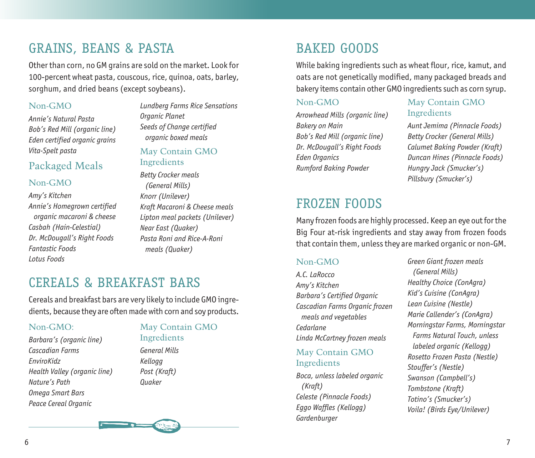# GRAINS, BEANS & PASTA

Other than corn, no GM grains are sold on the market. Look for 100-percent wheat pasta, couscous, rice, quinoa, oats, barley, sorghum, and dried beans (except soybeans).

#### Non-GMO

*Annie's Natural Pasta Bob's Red Mill (organic line) Eden certified organic grains Vita-Spelt pasta*

### Packaged Meals

#### Non-GMO

*Amy's Kitchen Annie's Homegrown certified organic macaroni & cheese Casbah (Hain-Celestial) Dr. McDougall's Right Foods Fantastic Foods Lotus Foods*

*Lundberg Farms Rice Sensations Organic Planet Seeds of Change certified organic boxed meals*

#### May Contain GMO Ingredients

*Betty Crocker meals (General Mills) Knorr (Unilever) Kraft Macaroni & Cheese meals Lipton meal packets (Unilever) Near East (Quaker) Pasta Roni and Rice-A-Roni meals (Quaker)*

# CEREALS & BREAKFAST BARS

Cereals and breakfast bars are very likely to include GMO ingredients, because they are often made with corn and soy products.

#### Non-GMO:

*Barbara's (organic line) Cascadian Farms EnviroKidz Health Valley (organic line) Nature's Path Omega Smart Bars Peace Cereal Organic*

#### May Contain GMO Ingredients

*General Mills Kellogg Post (Kraft) Quaker* 



While baking ingredients such as wheat flour, rice, kamut, and oats are not genetically modified, many packaged breads and bakery items contain other GMO ingredients such as corn syrup.

#### Non-GMO

*Arrowhead Mills (organic line) Bakery on Main Bob's Red Mill (organic line) Dr. McDougall's Right Foods Eden Organics Rumford Baking Powder*

### May Contain GMO Ingredients

*Aunt Jemima (Pinnacle Foods) Betty Crocker (General Mills) Calumet Baking Powder (Kraft) Duncan Hines (Pinnacle Foods) Hungry Jack (Smucker's) Pillsbury (Smucker's)*

# FROZEN FOODS

Many frozen foods are highly processed. Keep an eye out for the Big Four at-risk ingredients and stay away from frozen foods that contain them, unless they are marked organic or non-GM.

### Non-GMO

*A.C. LaRocco Amy's Kitchen Barbara's Certified Organic Cascadian Farms Organic frozen meals and vegetables Cedarlane Linda McCartney frozen meals* 

#### May Contain GMO Ingredients

*Boca, unless labeled organic (Kraft) Celeste (Pinnacle Foods) Eggo Waffles (Kellogg) Gardenburger*

*Green Giant frozen meals (General Mills) Healthy Choice (ConAgra) Kid's Cuisine (ConAgra) Lean Cuisine (Nestle) Marie Callender's (ConAgra) Morningstar Farms, Morningstar Farms Natural Touch, unless labeled organic (Kellogg) Rosetto Frozen Pasta (Nestle) Stouffer's (Nestle) Swanson (Campbell's) Tombstone (Kraft) Totino's (Smucker's) Voila! (Birds Eye/Unilever)*

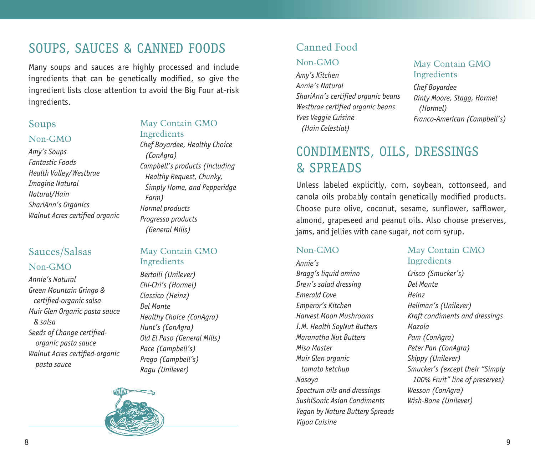# SOUPS, SAUCES & CANNED FOODS

Many soups and sauces are highly processed and include ingredients that can be genetically modified, so give the ingredient lists close attention to avoid the Big Four at-risk ingredients.

#### Soups

#### Non-GMO

*Amy's Soups Fantastic Foods Health Valley/Westbrae Imagine Natural Natural/Hain ShariAnn's Organics Walnut Acres certified organic*

### Sauces/Salsas Non-GMO

*Annie's Natural Green Mountain Gringo & certified-organic salsa Muir Glen Organic pasta sauce & salsa Seeds of Change certifiedorganic pasta sauce Walnut Acres certified-organic pasta sauce*

#### May Contain GMO Ingredients

*Chef Boyardee, Healthy Choice (ConAgra) Campbell's products (including Healthy Request, Chunky, Simply Home, and Pepperidge Farm) Hormel products Progresso products (General Mills)*

#### May Contain GMO Ingredients

*Bertolli (Unilever) Chi-Chi's (Hormel) Classico (Heinz) Del Monte Healthy Choice (ConAgra) Hunt's (ConAgra) Old El Paso (General Mills) Pace (Campbell's) Prego (Campbell's) Ragu (Unilever)*



## Canned Food

#### Non-GMO

*Amy's Kitchen Annie's Natural ShariAnn's certified organic beans Westbrae certified organic beans Yves Veggie Cuisine (Hain Celestial)*

#### May Contain GMO **Ingredients**

*Chef Boyardee Dinty Moore, Stagg, Hormel (Hormel) Franco-American (Campbell's)*

# CONDIMENTS, OILS, DRESSINGS & SPREADS

Unless labeled explicitly, corn, soybean, cottonseed, and canola oils probably contain genetically modified products. Choose pure olive, coconut, sesame, sunflower, safflower, almond, grapeseed and peanut oils. Also choose preserves, jams, and jellies with cane sugar, not corn syrup.

#### Non-GMO

*Annie's Bragg's liquid amino Drew's salad dressing Emerald Cove Emperor's Kitchen Harvest Moon Mushrooms I.M. Health SoyNut Butters Maranatha Nut Butters Miso Master Muir Glen organic tomato ketchup Nasoya Spectrum oils and dressings SushiSonic Asian Condiments Vegan by Nature Buttery Spreads Vigoa Cuisine*

### May Contain GMO Ingredients

*Crisco (Smucker's) Del Monte Heinz Hellman's (Unilever) Kraft condiments and dressings Mazola Pam (ConAgra) Peter Pan (ConAgra) Skippy (Unilever) Smucker's (except their "Simply 100% Fruit" line of preserves) Wesson (ConAgra) Wish-Bone (Unilever)*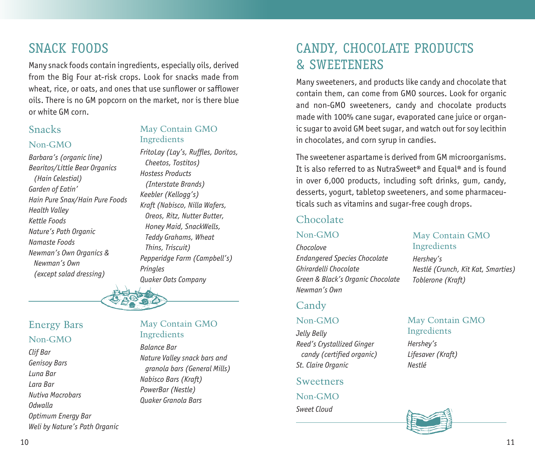# SNACK FOODS

Many snack foods contain ingredients, especially oils, derived from the Big Four at-risk crops. Look for snacks made from wheat, rice, or oats, and ones that use sunflower or safflower oils. There is no GM popcorn on the market, nor is there blue or white GM corn.

### Snacks

#### Non-GMO

*Barbara's (organic line) Bearitos/Little Bear Organics (Hain Celestial) Garden of Eatin' Hain Pure Snax/Hain Pure Foods Health Valley Kettle Foods Nature's Path Organic Namaste Foods Newman's Own Organics & Newman's Own (except salad dressing)* 

#### May Contain GMO Ingredients

*FritoLay (Lay's, Ruffles, Doritos, Cheetos, Tostitos) Hostess Products (Interstate Brands) Keebler (Kellogg's) Kraft (Nabisco, Nilla Wafers, Oreos, Ritz, Nutter Butter, Honey Maid, SnackWells, Teddy Grahams, Wheat Thins, Triscuit) Pepperidge Farm (Campbell's) Pringles Quaker Oats Company*

### Energy Bars Non-GMO

*Clif Bar Genisoy Bars Luna Bar Lara Bar Nutiva Macrobars Odwalla Optimum Energy Bar Weli by Nature's Path Organic*

#### May Contain GMO Ingredients

*Balance Bar Nature Valley snack bars and granola bars (General Mills) Nabisco Bars (Kraft) PowerBar (Nestle) Quaker Granola Bars*

# CANDY, CHOCOLATE PRODUCTS & SWEETENERS

Many sweeteners, and products like candy and chocolate that contain them, can come from GMO sources. Look for organic and non-GMO sweeteners, candy and chocolate products made with 100% cane sugar, evaporated cane juice or organic sugar to avoid GM beet sugar, and watch out for soy lecithin in chocolates, and corn syrup in candies.

The sweetener aspartame is derived from GM microorganisms. It is also referred to as NutraSweet® and Equal® and is found in over 6,000 products, including soft drinks, gum, candy, desserts, yogurt, tabletop sweeteners, and some pharmaceuticals such as vitamins and sugar-free cough drops.

### Chocolate

#### Non-GMO

*Chocolove Endangered Species Chocolate Ghirardelli Chocolate Green & Black's Organic Chocolate Newman's Own*

### Candy

#### Non-GMO

*Jelly Belly Reed's Crystallized Ginger candy (certified organic) St. Claire Organic*

#### **Sweetners** Non-GMO

*Sweet Cloud*

#### May Contain GMO Ingredients

*Hershey's Nestlé (Crunch, Kit Kat, Smarties) Toblerone (Kraft)*

### May Contain GMO Ingredients

*Hershey's Lifesaver (Kraft) Nestlé*